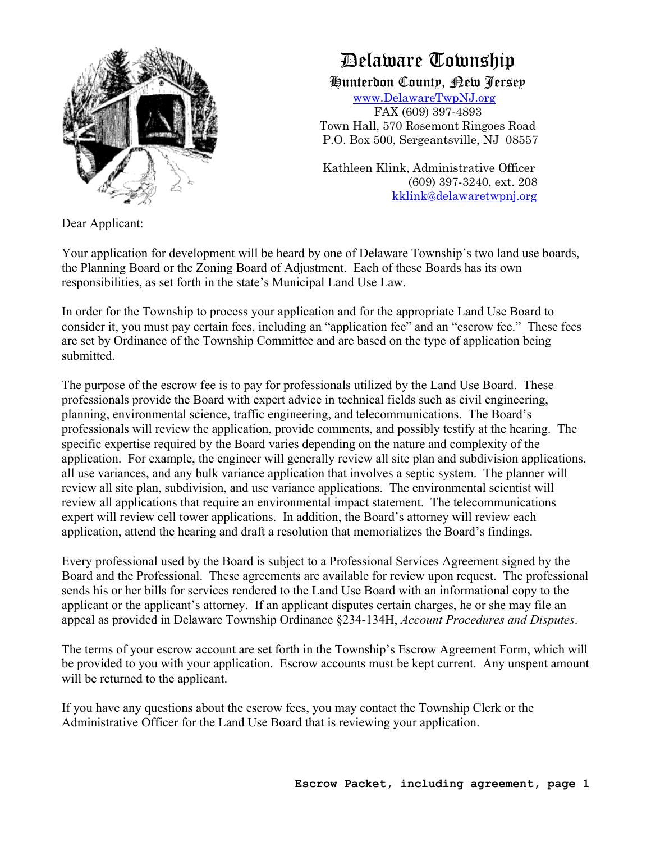

# Delaware Township

Hunterdon County, New Jersey www.DelawareTwpNJ.org

 FAX (609) 397-4893 Town Hall, 570 Rosemont Ringoes Road P.O. Box 500, Sergeantsville, NJ 08557

 Kathleen Klink, Administrative Officer (609) 397-3240, ext. 208 kklink@delawaretwpnj.org

Dear Applicant:

Your application for development will be heard by one of Delaware Township's two land use boards, the Planning Board or the Zoning Board of Adjustment. Each of these Boards has its own responsibilities, as set forth in the state's Municipal Land Use Law.

In order for the Township to process your application and for the appropriate Land Use Board to consider it, you must pay certain fees, including an "application fee" and an "escrow fee." These fees are set by Ordinance of the Township Committee and are based on the type of application being submitted.

The purpose of the escrow fee is to pay for professionals utilized by the Land Use Board. These professionals provide the Board with expert advice in technical fields such as civil engineering, planning, environmental science, traffic engineering, and telecommunications. The Board's professionals will review the application, provide comments, and possibly testify at the hearing. The specific expertise required by the Board varies depending on the nature and complexity of the application. For example, the engineer will generally review all site plan and subdivision applications, all use variances, and any bulk variance application that involves a septic system. The planner will review all site plan, subdivision, and use variance applications. The environmental scientist will review all applications that require an environmental impact statement. The telecommunications expert will review cell tower applications. In addition, the Board's attorney will review each application, attend the hearing and draft a resolution that memorializes the Board's findings.

Every professional used by the Board is subject to a Professional Services Agreement signed by the Board and the Professional. These agreements are available for review upon request. The professional sends his or her bills for services rendered to the Land Use Board with an informational copy to the applicant or the applicant's attorney. If an applicant disputes certain charges, he or she may file an appeal as provided in Delaware Township Ordinance §234-134H, *Account Procedures and Disputes*.

The terms of your escrow account are set forth in the Township's Escrow Agreement Form, which will be provided to you with your application. Escrow accounts must be kept current. Any unspent amount will be returned to the applicant.

If you have any questions about the escrow fees, you may contact the Township Clerk or the Administrative Officer for the Land Use Board that is reviewing your application.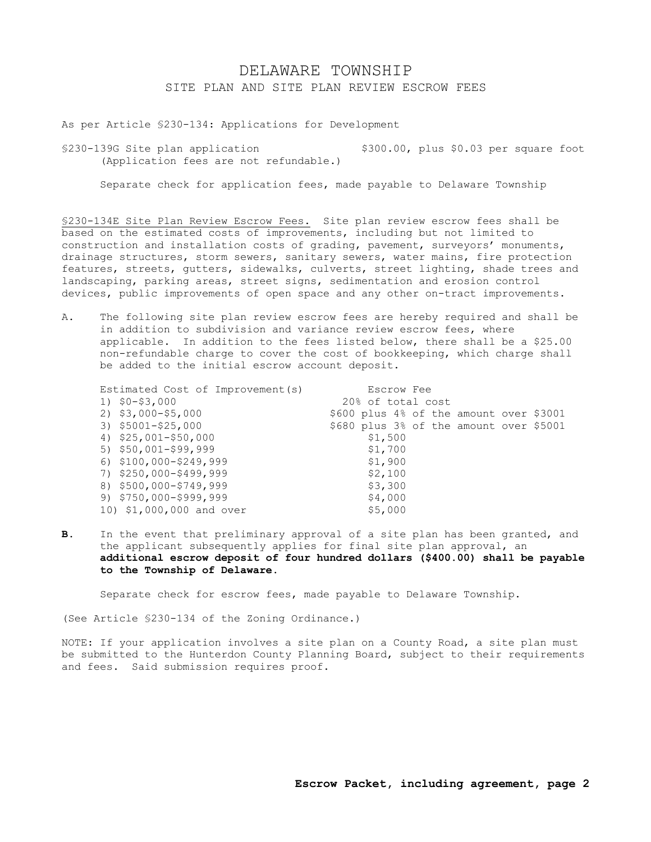## DELAWARE TOWNSHIP SITE PLAN AND SITE PLAN REVIEW ESCROW FEES

As per Article §230-134: Applications for Development

§230-139G Site plan application \$300.00, plus \$0.03 per square foot (Application fees are not refundable.)

Separate check for application fees, made payable to Delaware Township

§230-134E Site Plan Review Escrow Fees. Site plan review escrow fees shall be based on the estimated costs of improvements, including but not limited to construction and installation costs of grading, pavement, surveyors' monuments, drainage structures, storm sewers, sanitary sewers, water mains, fire protection features, streets, gutters, sidewalks, culverts, street lighting, shade trees and landscaping, parking areas, street signs, sedimentation and erosion control devices, public improvements of open space and any other on-tract improvements.

A. The following site plan review escrow fees are hereby required and shall be in addition to subdivision and variance review escrow fees, where applicable. In addition to the fees listed below, there shall be a \$25.00 non-refundable charge to cover the cost of bookkeeping, which charge shall be added to the initial escrow account deposit.

| Estimated Cost of Improvement (s) | Escrow Fee                              |  |  |  |  |  |
|-----------------------------------|-----------------------------------------|--|--|--|--|--|
| $1)$ \$0-\$3,000                  | 20% of total cost                       |  |  |  |  |  |
| $2)$ \$3,000-\$5,000              | \$600 plus 4% of the amount over \$3001 |  |  |  |  |  |
| 3) \$5001-\$25,000                | \$680 plus 3% of the amount over \$5001 |  |  |  |  |  |
| 4) $$25,001 - $50,000$            | \$1,500                                 |  |  |  |  |  |
| 5) $$50,001 - $99,999$            | \$1,700                                 |  |  |  |  |  |
| $6)$ \$100,000-\$249,999          | \$1,900                                 |  |  |  |  |  |
| 7) \$250,000-\$499,999            | \$2,100                                 |  |  |  |  |  |
| 8) \$500,000-\$749,999            | \$3,300                                 |  |  |  |  |  |
| $9)$ $$750,000-$999,999$          | \$4,000                                 |  |  |  |  |  |
| 10) \$1,000,000 and over          | \$5,000                                 |  |  |  |  |  |

**B.** In the event that preliminary approval of a site plan has been granted, and the applicant subsequently applies for final site plan approval, an **additional escrow deposit of four hundred dollars (\$400.00) shall be payable to the Township of Delaware.**

Separate check for escrow fees, made payable to Delaware Township.

(See Article §230-134 of the Zoning Ordinance.)

NOTE: If your application involves a site plan on a County Road, a site plan must be submitted to the Hunterdon County Planning Board, subject to their requirements and fees. Said submission requires proof.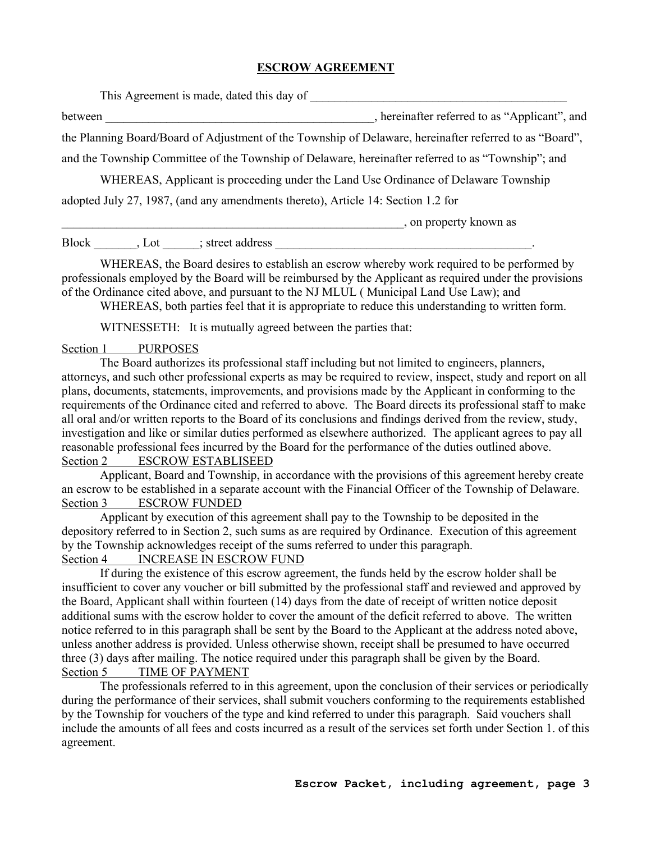#### **ESCROW AGREEMENT**

| This Agreement is made, dated this day of                                        |                                                                                                         |
|----------------------------------------------------------------------------------|---------------------------------------------------------------------------------------------------------|
| between                                                                          | , hereinafter referred to as "Applicant", and                                                           |
|                                                                                  | the Planning Board/Board of Adjustment of the Township of Delaware, hereinafter referred to as "Board", |
|                                                                                  | and the Township Committee of the Township of Delaware, hereinafter referred to as "Township"; and      |
|                                                                                  | WHEREAS, Applicant is proceeding under the Land Use Ordinance of Delaware Township                      |
| adopted July 27, 1987, (and any amendments thereto), Article 14: Section 1.2 for |                                                                                                         |
|                                                                                  | , on property known as                                                                                  |

| Rloc | า1 | street<br>address |  |  |  |
|------|----|-------------------|--|--|--|

WHEREAS, the Board desires to establish an escrow whereby work required to be performed by professionals employed by the Board will be reimbursed by the Applicant as required under the provisions of the Ordinance cited above, and pursuant to the NJ MLUL ( Municipal Land Use Law); and

WHEREAS, both parties feel that it is appropriate to reduce this understanding to written form.

WITNESSETH: It is mutually agreed between the parties that:

#### Section 1 PURPOSES

The Board authorizes its professional staff including but not limited to engineers, planners, attorneys, and such other professional experts as may be required to review, inspect, study and report on all plans, documents, statements, improvements, and provisions made by the Applicant in conforming to the requirements of the Ordinance cited and referred to above. The Board directs its professional staff to make all oral and/or written reports to the Board of its conclusions and findings derived from the review, study, investigation and like or similar duties performed as elsewhere authorized. The applicant agrees to pay all reasonable professional fees incurred by the Board for the performance of the duties outlined above. Section 2 ESCROW ESTABLISEED

Applicant, Board and Township, in accordance with the provisions of this agreement hereby create an escrow to be established in a separate account with the Financial Officer of the Township of Delaware. Section 3 ESCROW FUNDED

Applicant by execution of this agreement shall pay to the Township to be deposited in the depository referred to in Section 2, such sums as are required by Ordinance. Execution of this agreement by the Township acknowledges receipt of the sums referred to under this paragraph. Section 4 INCREASE IN ESCROW FUND

If during the existence of this escrow agreement, the funds held by the escrow holder shall be insufficient to cover any voucher or bill submitted by the professional staff and reviewed and approved by the Board, Applicant shall within fourteen (14) days from the date of receipt of written notice deposit additional sums with the escrow holder to cover the amount of the deficit referred to above. The written notice referred to in this paragraph shall be sent by the Board to the Applicant at the address noted above, unless another address is provided. Unless otherwise shown, receipt shall be presumed to have occurred three (3) days after mailing. The notice required under this paragraph shall be given by the Board. Section 5 TIME OF PAYMENT

The professionals referred to in this agreement, upon the conclusion of their services or periodically during the performance of their services, shall submit vouchers conforming to the requirements established by the Township for vouchers of the type and kind referred to under this paragraph. Said vouchers shall include the amounts of all fees and costs incurred as a result of the services set forth under Section 1. of this agreement.